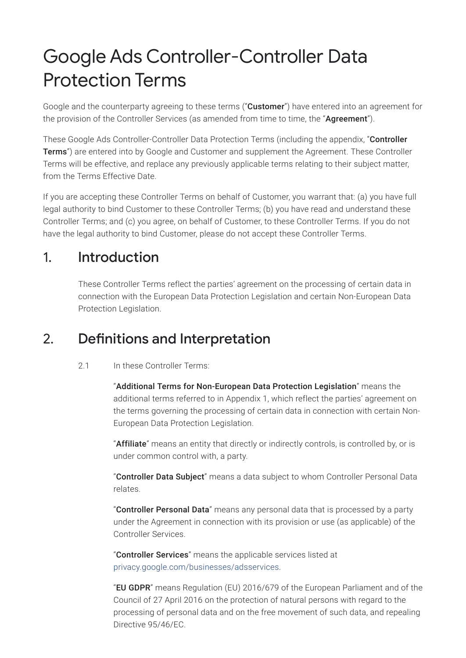# Google Ads Controller-Controller Data Protection Terms

Google and the counterparty agreeing to these terms ("**Customer**") have entered into an agreement for the provision of the Controller Services (as amended from time to time, the "Agreement").

These Google Ads Controller-Controller Data Protection Terms (including the appendix, "Controller Terms") are entered into by Google and Customer and supplement the Agreement. These Controller Terms will be effective, and replace any previously applicable terms relating to their subject matter, from the Terms Effective Date.

If you are accepting these Controller Terms on behalf of Customer, you warrant that: (a) you have full legal authority to bind Customer to these Controller Terms; (b) you have read and understand these Controller Terms; and (c) you agree, on behalf of Customer, to these Controller Terms. If you do not have the legal authority to bind Customer, please do not accept these Controller Terms.

# 1. Introduction

These Controller Terms reflect the parties' agreement on the processing of certain data in connection with the European Data Protection Legislation and certain Non-European Data Protection Legislation.

# 2. Definitions and Interpretation

#### 2.1 In these Controller Terms:

"Additional Terms for Non-European Data Protection Legislation" means the additional terms referred to in Appendix 1, which reflect the parties' agreement on the terms governing the processing of certain data in connection with certain Non-European Data Protection Legislation.

"Affiliate" means an entity that directly or indirectly controls, is controlled by, or is under common control with, a party.

"Controller Data Subject" means a data subject to whom Controller Personal Data relates.

"Controller Personal Data" means any personal data that is processed by a party under the Agreement in connection with its provision or use (as applicable) of the Controller Services.

"Controller Services" means the applicable services listed at [privacy.google.com/businesses/adsservices](https://privacy.google.com/businesses/adsservices/).

"EU GDPR" means Regulation (EU) 2016/679 of the European Parliament and of the Council of 27 April 2016 on the protection of natural persons with regard to the processing of personal data and on the free movement of such data, and repealing Directive 95/46/EC.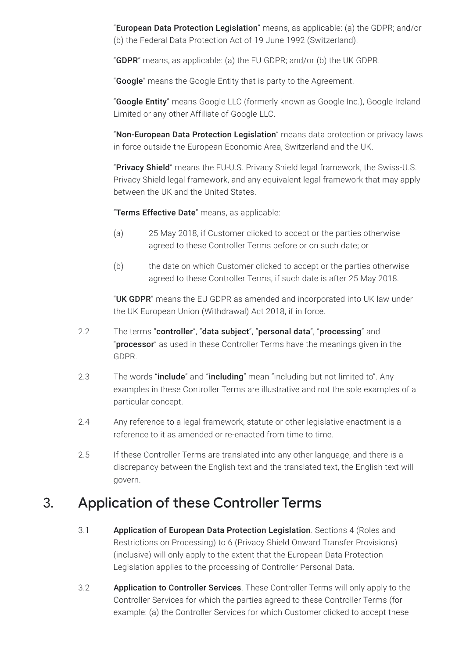"European Data Protection Legislation" means, as applicable: (a) the GDPR; and/or (b) the Federal Data Protection Act of 19 June 1992 (Switzerland).

"GDPR" means, as applicable: (a) the EU GDPR; and/or (b) the UK GDPR.

"Google" means the Google Entity that is party to the Agreement.

"Google Entity" means Google LLC (formerly known as Google Inc.), Google Ireland Limited or any other Affiliate of Google LLC.

"Non-European Data Protection Legislation" means data protection or privacy laws in force outside the European Economic Area, Switzerland and the UK.

"Privacy Shield" means the EU-U.S. Privacy Shield legal framework, the Swiss-U.S. Privacy Shield legal framework, and any equivalent legal framework that may apply between the UK and the United States.

"Terms Effective Date" means, as applicable:

- (a) 25 May 2018, if Customer clicked to accept or the parties otherwise agreed to these Controller Terms before or on such date; or
- (b) the date on which Customer clicked to accept or the parties otherwise agreed to these Controller Terms, if such date is after 25 May 2018.

"UK GDPR" means the EU GDPR as amended and incorporated into UK law under the UK European Union (Withdrawal) Act 2018, if in force.

- 2.2 The terms "controller", "data subject", "personal data", "processing" and "processor" as used in these Controller Terms have the meanings given in the GDPR.
- 2.3 The words "include" and "including" mean "including but not limited to". Any examples in these Controller Terms are illustrative and not the sole examples of a particular concept.
- 2.4 Any reference to a legal framework, statute or other legislative enactment is a reference to it as amended or re-enacted from time to time.
- 2.5 If these Controller Terms are translated into any other language, and there is a discrepancy between the English text and the translated text, the English text will govern.

### 3. Application of these Controller Terms

- 3.1 Application of European Data Protection Legislation. Sections 4 (Roles and Restrictions on Processing) to 6 (Privacy Shield Onward Transfer Provisions) (inclusive) will only apply to the extent that the European Data Protection Legislation applies to the processing of Controller Personal Data.
- 3.2 Application to Controller Services. These Controller Terms will only apply to the Controller Services for which the parties agreed to these Controller Terms (for example: (a) the Controller Services for which Customer clicked to accept these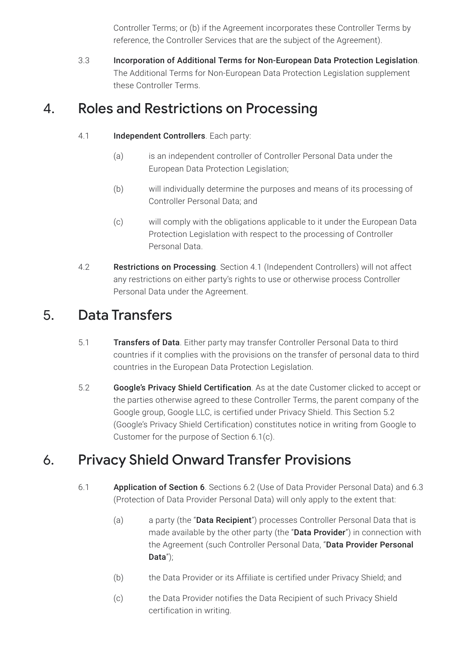Controller Terms; or (b) if the Agreement incorporates these Controller Terms by reference, the Controller Services that are the subject of the Agreement).

3.3 Incorporation of Additional Terms for Non-European Data Protection Legislation. The Additional Terms for Non-European Data Protection Legislation supplement these Controller Terms.

# 4. Roles and Restrictions on Processing

- 4.1 **Independent Controllers**. Each party:
	- (a) is an independent controller of Controller Personal Data under the European Data Protection Legislation;
	- (b) will individually determine the purposes and means of its processing of Controller Personal Data; and
	- (c) will comply with the obligations applicable to it under the European Data Protection Legislation with respect to the processing of Controller Personal Data.
- 4.2 Restrictions on Processing. Section 4.1 (Independent Controllers) will not affect any restrictions on either party's rights to use or otherwise process Controller Personal Data under the Agreement.

# 5. Data Transfers

- 5.1 Transfers of Data. Either party may transfer Controller Personal Data to third countries if it complies with the provisions on the transfer of personal data to third countries in the European Data Protection Legislation.
- 5.2 Google's Privacy Shield Certification. As at the date Customer clicked to accept or the parties otherwise agreed to these Controller Terms, the parent company of the Google group, Google LLC, is certified under Privacy Shield. This Section 5.2 (Google's Privacy Shield Certification) constitutes notice in writing from Google to Customer for the purpose of Section 6.1(c).

# 6. Privacy Shield Onward Transfer Provisions

- 6.1 Application of Section 6. Sections 6.2 (Use of Data Provider Personal Data) and 6.3 (Protection of Data Provider Personal Data) will only apply to the extent that:
	- (a) a party (the "**Data Recipient**") processes Controller Personal Data that is made available by the other party (the "Data Provider") in connection with the Agreement (such Controller Personal Data, "Data Provider Personal Data");
	- (b) the Data Provider or its Affiliate is certified under Privacy Shield; and
	- (c) the Data Provider notifies the Data Recipient of such Privacy Shield certification in writing.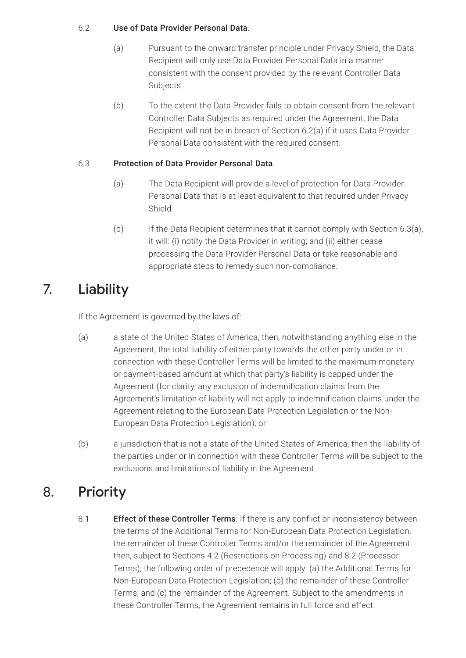#### 6.2 Use of Data Provider Personal Data.

- (a) Pursuant to the onward transfer principle under Privacy Shield, the Data Recipient will only use Data Provider Personal Data in a manner consistent with the consent provided by the relevant Controller Data Subjects.
- (b) To the extent the Data Provider fails to obtain consent from the relevant Controller Data Subjects as required under the Agreement, the Data Recipient will not be in breach of Section 6.2(a) if it uses Data Provider Personal Data consistent with the required consent.

#### 6.3 Protection of Data Provider Personal Data.

- (a) The Data Recipient will provide a level of protection for Data Provider Personal Data that is at least equivalent to that required under Privacy Shield.
- (b) If the Data Recipient determines that it cannot comply with Section 6.3(a), it will: (i) notify the Data Provider in writing; and (ii) either cease processing the Data Provider Personal Data or take reasonable and appropriate steps to remedy such non-compliance.

# 7. Liability

If the Agreement is governed by the laws of:

- (a) a state of the United States of America, then, notwithstanding anything else in the Agreement, the total liability of either party towards the other party under or in connection with these Controller Terms will be limited to the maximum monetary or payment-based amount at which that party's liability is capped under the Agreement (for clarity, any exclusion of indemnification claims from the Agreement's limitation of liability will not apply to indemnification claims under the Agreement relating to the European Data Protection Legislation or the Non-European Data Protection Legislation); or
- (b) a jurisdiction that is not a state of the United States of America, then the liability of the parties under or in connection with these Controller Terms will be subject to the exclusions and limitations of liability in the Agreement.

# 8. Priority

8.1 **Effect of these Controller Terms**. If there is any conflict or inconsistency between the terms of the Additional Terms for Non-European Data Protection Legislation, the remainder of these Controller Terms and/or the remainder of the Agreement then, subject to Sections 4.2 (Restrictions on Processing) and 8.2 (Processor Terms), the following order of precedence will apply: (a) the Additional Terms for Non-European Data Protection Legislation; (b) the remainder of these Controller Terms; and (c) the remainder of the Agreement. Subject to the amendments in these Controller Terms, the Agreement remains in full force and effect.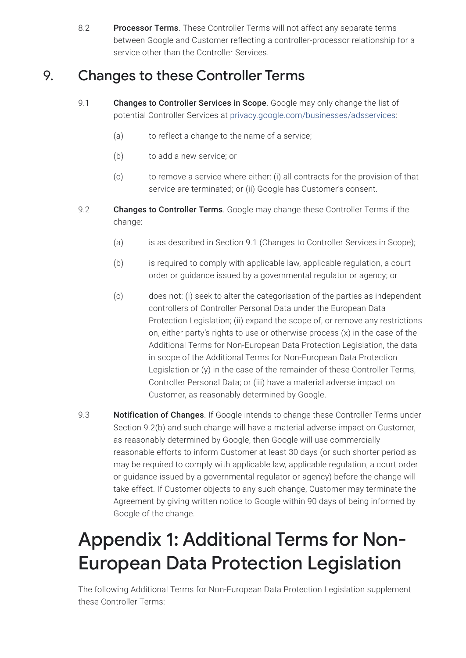8.2 Processor Terms. These Controller Terms will not affect any separate terms between Google and Customer reflecting a controller-processor relationship for a service other than the Controller Services.

# 9. Changes to these Controller Terms

- 9.1 **Changes to Controller Services in Scope**. Google may only change the list of potential Controller Services at [privacy.google.com/businesses/adsservices:](https://privacy.google.com/businesses/adsservices/)
	- (a) to reflect a change to the name of a service;
	- (b) to add a new service; or
	- (c) to remove a service where either: (i) all contracts for the provision of that service are terminated; or (ii) Google has Customer's consent.
- 9.2 Changes to Controller Terms. Google may change these Controller Terms if the change:
	- (a) is as described in Section 9.1 (Changes to Controller Services in Scope);
	- (b) is required to comply with applicable law, applicable regulation, a court order or guidance issued by a governmental regulator or agency; or
	- (c) does not: (i) seek to alter the categorisation of the parties as independent controllers of Controller Personal Data under the European Data Protection Legislation; (ii) expand the scope of, or remove any restrictions on, either party's rights to use or otherwise process (x) in the case of the Additional Terms for Non-European Data Protection Legislation, the data in scope of the Additional Terms for Non-European Data Protection Legislation or (y) in the case of the remainder of these Controller Terms, Controller Personal Data; or (iii) have a material adverse impact on Customer, as reasonably determined by Google.
- 9.3 **Notification of Changes**. If Google intends to change these Controller Terms under Section 9.2(b) and such change will have a material adverse impact on Customer, as reasonably determined by Google, then Google will use commercially reasonable efforts to inform Customer at least 30 days (or such shorter period as may be required to comply with applicable law, applicable regulation, a court order or guidance issued by a governmental regulator or agency) before the change will take effect. If Customer objects to any such change, Customer may terminate the Agreement by giving written notice to Google within 90 days of being informed by Google of the change.

# Appendix 1: Additional Terms for Non-European Data Protection Legislation

The following Additional Terms for Non-European Data Protection Legislation supplement these Controller Terms: